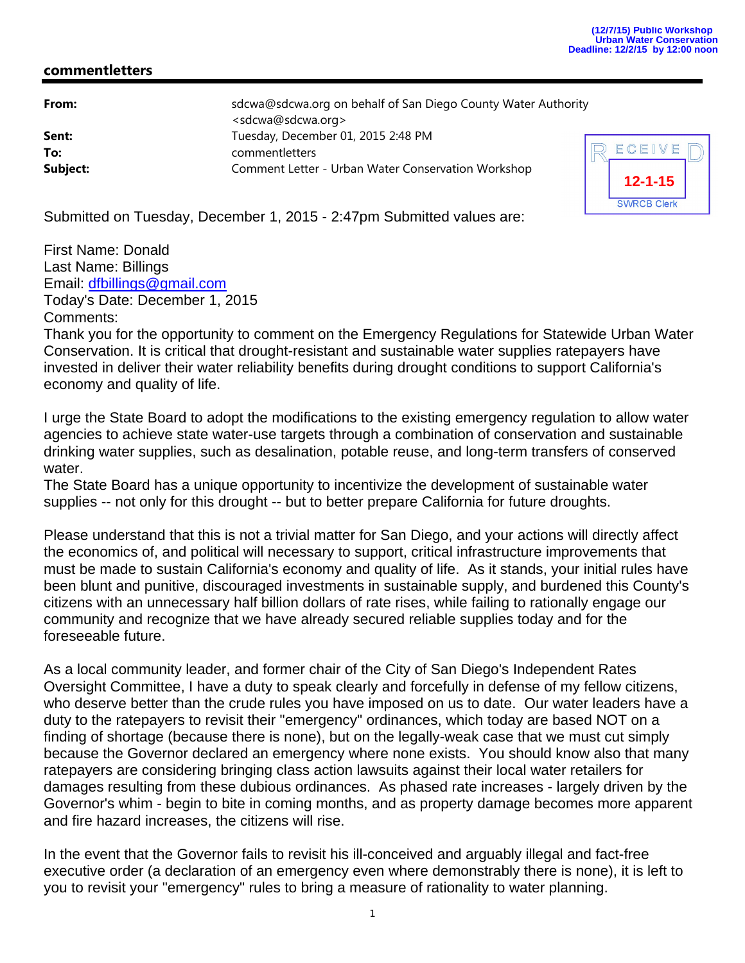## **commentletters**

| From:    | sdcwa@sdcwa.org on behalf of San Diego County Water Authority<br><sdcwa@sdcwa.org></sdcwa@sdcwa.org> |   |
|----------|------------------------------------------------------------------------------------------------------|---|
| Sent:    | Tuesday, December 01, 2015 2:48 PM                                                                   |   |
| To:      | commentletters                                                                                       | F |
| Subject: | Comment Letter - Urban Water Conservation Workshop                                                   |   |



Submitted on Tuesday, December 1, 2015 - 2:47pm Submitted values are:

First Name: Donald Last Name: Billings Email: dfbillings@gmail.com Today's Date: December 1, 2015 Comments:

Thank you for the opportunity to comment on the Emergency Regulations for Statewide Urban Water Conservation. It is critical that drought-resistant and sustainable water supplies ratepayers have invested in deliver their water reliability benefits during drought conditions to support California's economy and quality of life.

I urge the State Board to adopt the modifications to the existing emergency regulation to allow water agencies to achieve state water-use targets through a combination of conservation and sustainable drinking water supplies, such as desalination, potable reuse, and long-term transfers of conserved water.

The State Board has a unique opportunity to incentivize the development of sustainable water supplies -- not only for this drought -- but to better prepare California for future droughts.

Please understand that this is not a trivial matter for San Diego, and your actions will directly affect the economics of, and political will necessary to support, critical infrastructure improvements that must be made to sustain California's economy and quality of life. As it stands, your initial rules have been blunt and punitive, discouraged investments in sustainable supply, and burdened this County's citizens with an unnecessary half billion dollars of rate rises, while failing to rationally engage our community and recognize that we have already secured reliable supplies today and for the foreseeable future.

As a local community leader, and former chair of the City of San Diego's Independent Rates Oversight Committee, I have a duty to speak clearly and forcefully in defense of my fellow citizens, who deserve better than the crude rules you have imposed on us to date. Our water leaders have a duty to the ratepayers to revisit their "emergency" ordinances, which today are based NOT on a finding of shortage (because there is none), but on the legally-weak case that we must cut simply because the Governor declared an emergency where none exists. You should know also that many ratepayers are considering bringing class action lawsuits against their local water retailers for damages resulting from these dubious ordinances. As phased rate increases - largely driven by the Governor's whim - begin to bite in coming months, and as property damage becomes more apparent and fire hazard increases, the citizens will rise.

In the event that the Governor fails to revisit his ill-conceived and arguably illegal and fact-free executive order (a declaration of an emergency even where demonstrably there is none), it is left to you to revisit your "emergency" rules to bring a measure of rationality to water planning.